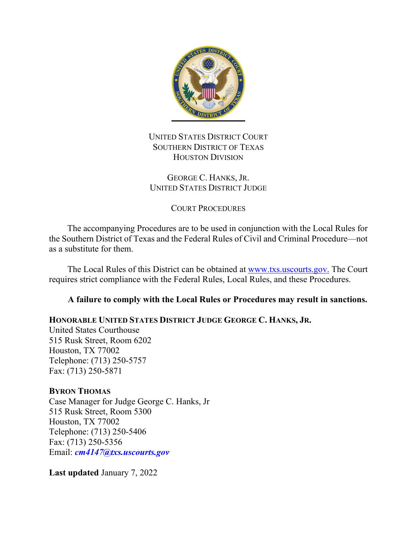

## UNITED STATES DISTRICT COURT SOUTHERN DISTRICT OF TEXAS HOUSTON DIVISION

### GEORGE C. HANKS, JR. UNITED STATES DISTRICT JUDGE

## COURT PROCEDURES

The accompanying Procedures are to be used in conjunction with the Local Rules for the Southern District of Texas and the Federal Rules of Civil and Criminal Procedure—not as a substitute for them.

The Local Rules of this District can be obtained at www.txs.uscourts.gov. The Court requires strict compliance with the Federal Rules, Local Rules, and these Procedures.

## **A failure to comply with the Local Rules or Procedures may result in sanctions.**

## **HONORABLE UNITED STATES DISTRICT JUDGE GEORGE C. HANKS, JR.**

United States Courthouse 515 Rusk Street, Room 6202 Houston, TX 77002 Telephone: (713) 250-5757 Fax: (713) 250-5871

#### **BYRON THOMAS**

Case Manager for Judge George C. Hanks, Jr 515 Rusk Street, Room 5300 Houston, TX 77002 Telephone: (713) 250-5406 Fax: (713) 250-5356 Email: *cm4147@txs.uscourts.gov*

**Last updated** January 7, 2022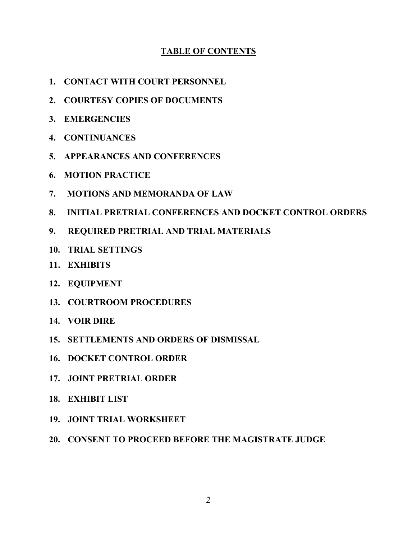## **TABLE OF CONTENTS**

- **1. [CONTACT WITH COURT PERSONNEL](#page-1-0)**
- **2. [COURTESY COPIES OF DOCUMENTS](#page-3-0)**
- **3. [EMERGENCIES](#page-3-1)**
- **4. [CONTINUANCES](#page-3-2)**
- **5. [APPEARANCES AND CONFERENCES](#page-4-0)**
- **6. [MOTION PRACTICE](#page-5-0)**
- **[7. MOTIONS AND MEMORANDA OF LAW](#page-9-0)**
- **[8. INITIAL PRETRIAL CONFERENCES AND DOCKET CONTROL ORDERS](#page-10-0)**
- **9. [REQUIRED PRETRIAL AND TRIAL MATERIALS](#page-11-0)**
- **10. TRIAL SETTINGS**
- **11. [EXHIBITS](#page-14-0)**
- **12. [EQUIPMENT](#page-15-0)**
- **13. [COURTROOM PROCEDURES](#page-15-1)**
- **14. [VOIR DIRE](#page-18-0)**
- **15. [SETTLEMENTS AND ORDERS OF DISMISSAL](#page-18-1)**
- **16. DOCKET CONTROL ORDER**
- **17. JOINT PRETRIAL ORDER**
- **18. EXHIBIT LIST**
- **19. JOINT TRIAL WORKSHEET**
- <span id="page-1-0"></span>**20. CONSENT TO PROCEED BEFORE THE MAGISTRATE JUDGE**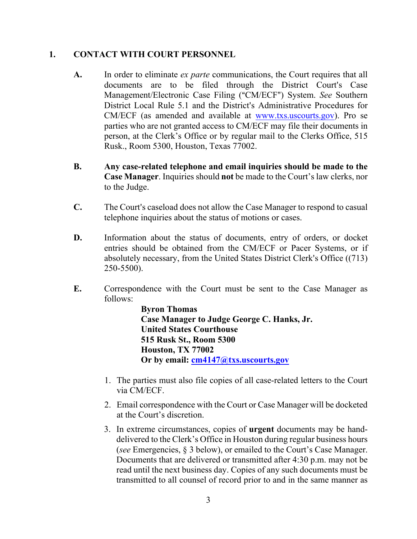#### **1. CONTACT WITH COURT PERSONNEL**

- **A.** In order to eliminate *ex parte* communications, the Court requires that all documents are to be filed through the District Court's Case Management/Electronic Case Filing ("CM/ECF") System. See Southern District Local Rule 5.1 and the District's Administrative Procedures for CM/ECF (as amended and available at www.txs.uscourts.gov). Pro se parties who are not granted access to CM/ECF may file their documents in person, at the Clerk's Office or by regular mail to the Clerks Office, 515 Rusk., Room 5300, Houston, Texas 77002.
- **B. Any case-related telephone and email inquiries should be made to the Case Manager**. Inquiries should **not** be made to the Court's law clerks, nor to the Judge.
- **C.** The Court's caseload does not allow the Case Manager to respond to casual telephone inquiries about the status of motions or cases.
- **D.** Information about the status of documents, entry of orders, or docket entries should be obtained from the CM/ECF or Pacer Systems, or if absolutely necessary, from the United States District Clerk's Office ((713) 250-5500).
- **E.** Correspondence with the Court must be sent to the Case Manager as follows:

**Byron Thomas Case Manager to Judge George C. Hanks, Jr. United States Courthouse 515 Rusk St., Room 5300 Houston, TX 77002 Or by email: [cm4147@txs.uscourts.gov](mailto:cm4147@txs.uscourts.gov)**

- 1. The parties must also file copies of all case-related letters to the Court via CM/ECF.
- 2. Email correspondence with the Court or Case Manager will be docketed at the Court's discretion.
- 3. In extreme circumstances, copies of **urgent** documents may be handdelivered to the Clerk's Office in Houston during regular business hours (*see* Emergencies, § 3 below), or emailed to the Court's Case Manager. Documents that are delivered or transmitted after 4:30 p.m. may not be read until the next business day. Copies of any such documents must be transmitted to all counsel of record prior to and in the same manner as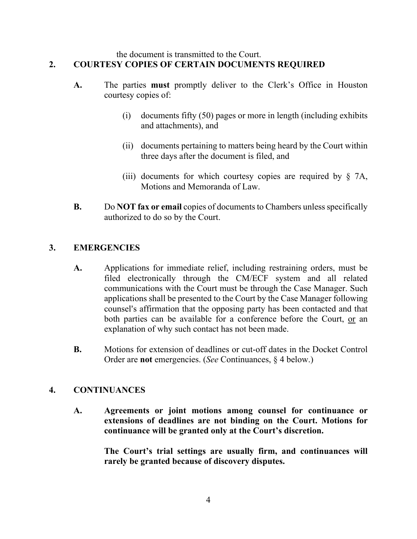#### <span id="page-3-0"></span>the document is transmitted to the Court. **2. COURTESY COPIES OF CERTAIN DOCUMENTS REQUIRED**

- **A.** The parties **must** promptly deliver to the Clerk's Office in Houston courtesy copies of:
	- (i) documents fifty (50) pages or more in length (including exhibits and attachments), and
	- (ii) documents pertaining to matters being heard by the Court within three days after the document is filed, and
	- (iii) documents for which courtesy copies are required by  $\S$  7A, Motions and Memoranda of Law.
- **B.** Do **NOT fax or email** copies of documents to Chambers unless specifically authorized to do so by the Court.

## <span id="page-3-1"></span>**3. EMERGENCIES**

- **A.** Applications for immediate relief, including restraining orders, must be filed electronically through the CM/ECF system and all related communications with the Court must be through the Case Manager. Such applications shall be presented to the Court by the Case Manager following counsel's affirmation that the opposing party has been contacted and that both parties can be available for a conference before the Court, or an explanation of why such contact has not been made.
- **B.** Motions for extension of deadlines or cut-off dates in the Docket Control Order are **not** emergencies. (*See* Continuances, § 4 below.)

#### <span id="page-3-2"></span>**4. CONTINUANCES**

**A. Agreements or joint motions among counsel for continuance or extensions of deadlines are not binding on the Court. Motions for continuance will be granted only at the Court's discretion.**

> **The Court's trial settings are usually firm, and continuances will rarely be granted because of discovery disputes.**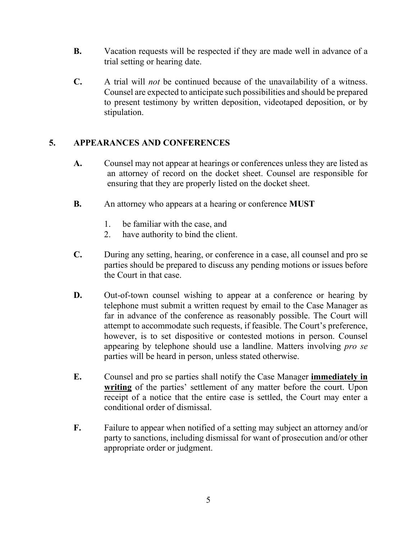- **B.** Vacation requests will be respected if they are made well in advance of a trial setting or hearing date.
- **C.** A trial will *not* be continued because of the unavailability of a witness. Counsel are expected to anticipate such possibilities and should be prepared to present testimony by written deposition, videotaped deposition, or by stipulation.

## <span id="page-4-0"></span>**5. APPEARANCES AND CONFERENCES**

- **A.** Counsel may not appear at hearings or conferences unless they are listed as an attorney of record on the docket sheet. Counsel are responsible for ensuring that they are properly listed on the docket sheet.
- **B.** An attorney who appears at a hearing or conference **MUST**
	- 1. be familiar with the case, and
	- 2. have authority to bind the client.
- **C.** During any setting, hearing, or conference in a case, all counsel and pro se parties should be prepared to discuss any pending motions or issues before the Court in that case.
- **D.** Out-of-town counsel wishing to appear at a conference or hearing by telephone must submit a written request by email to the Case Manager as far in advance of the conference as reasonably possible. The Court will attempt to accommodate such requests, if feasible. The Court's preference, however, is to set dispositive or contested motions in person. Counsel appearing by telephone should use a landline. Matters involving *pro se* parties will be heard in person, unless stated otherwise.
- **E.** Counsel and pro se parties shall notify the Case Manager **immediately in writing** of the parties' settlement of any matter before the court. Upon receipt of a notice that the entire case is settled, the Court may enter a conditional order of dismissal.
- **F.** Failure to appear when notified of a setting may subject an attorney and/or party to sanctions, including dismissal for want of prosecution and/or other appropriate order or judgment.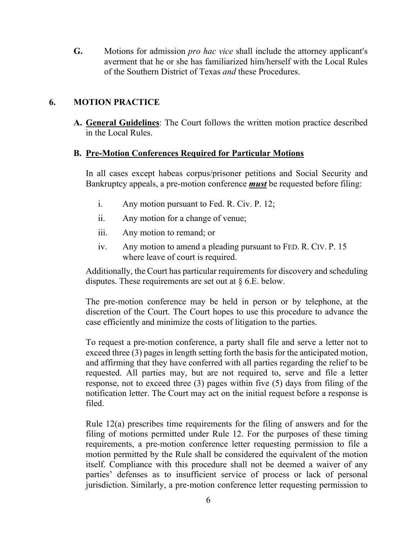**G.** Motions for admission *pro hac vice* shall include the attorney applicant's averment that he or she has familiarized him/herself with the Local Rules of the Southern District of Texas *and* these Procedures.

## <span id="page-5-0"></span>**6. MOTION PRACTICE**

**A. General Guidelines**: The Court follows the written motion practice described in the Local Rules.

#### **B. Pre-Motion Conferences Required for Particular Motions**

In all cases except habeas corpus/prisoner petitions and Social Security and Bankruptcy appeals, a pre-motion conference *must* be requested before filing:

- i. Any motion pursuant to Fed. R. Civ. P. 12;
- ii. Any motion for a change of venue;
- iii. Any motion to remand; or
- iv. Any motion to amend a pleading pursuant to FED. R. CIV. P. 15 where leave of court is required.

Additionally, the Court has particular requirements for discovery and scheduling disputes. These requirements are set out at  $\S 6.E.$  below.

The pre-motion conference may be held in person or by telephone, at the discretion of the Court. The Court hopes to use this procedure to advance the case efficiently and minimize the costs of litigation to the parties.

To request a pre-motion conference, a party shall file and serve a letter not to exceed three (3) pages in length setting forth the basis for the anticipated motion, and affirming that they have conferred with all parties regarding the relief to be requested. All parties may, but are not required to, serve and file a letter response, not to exceed three (3) pages within five (5) days from filing of the notification letter. The Court may act on the initial request before a response is filed.

Rule 12(a) prescribes time requirements for the filing of answers and for the filing of motions permitted under Rule 12. For the purposes of these timing requirements, a pre-motion conference letter requesting permission to file a motion permitted by the Rule shall be considered the equivalent of the motion itself. Compliance with this procedure shall not be deemed a waiver of any parties' defenses as to insufficient service of process or lack of personal jurisdiction. Similarly, a pre-motion conference letter requesting permission to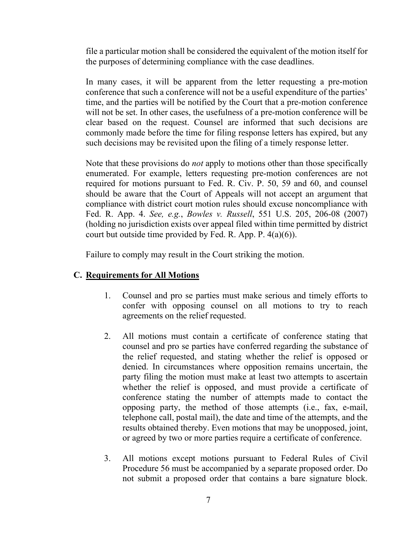file a particular motion shall be considered the equivalent of the motion itself for the purposes of determining compliance with the case deadlines.

In many cases, it will be apparent from the letter requesting a pre-motion conference that such a conference will not be a useful expenditure of the parties' time, and the parties will be notified by the Court that a pre-motion conference will not be set. In other cases, the usefulness of a pre-motion conference will be clear based on the request. Counsel are informed that such decisions are commonly made before the time for filing response letters has expired, but any such decisions may be revisited upon the filing of a timely response letter.

Note that these provisions do *not* apply to motions other than those specifically enumerated. For example, letters requesting pre-motion conferences are not required for motions pursuant to Fed. R. Civ. P. 50, 59 and 60, and counsel should be aware that the Court of Appeals will not accept an argument that compliance with district court motion rules should excuse noncompliance with Fed. R. App. 4. *See, e.g.*, *Bowles v. Russell*, 551 U.S. 205, 206-08 (2007) (holding no jurisdiction exists over appeal filed within time permitted by district court but outside time provided by Fed. R. App. P.  $4(a)(6)$ ).

Failure to comply may result in the Court striking the motion.

#### **C. Requirements for All Motions**

- 1. Counsel and pro se parties must make serious and timely efforts to confer with opposing counsel on all motions to try to reach agreements on the relief requested.
- 2. All motions must contain a certificate of conference stating that counsel and pro se parties have conferred regarding the substance of the relief requested, and stating whether the relief is opposed or denied. In circumstances where opposition remains uncertain, the party filing the motion must make at least two attempts to ascertain whether the relief is opposed, and must provide a certificate of conference stating the number of attempts made to contact the opposing party, the method of those attempts (i.e., fax, e-mail, telephone call, postal mail), the date and time of the attempts, and the results obtained thereby. Even motions that may be unopposed, joint, or agreed by two or more parties require a certificate of conference.
- 3. All motions except motions pursuant to Federal Rules of Civil Procedure 56 must be accompanied by a separate proposed order. Do not submit a proposed order that contains a bare signature block.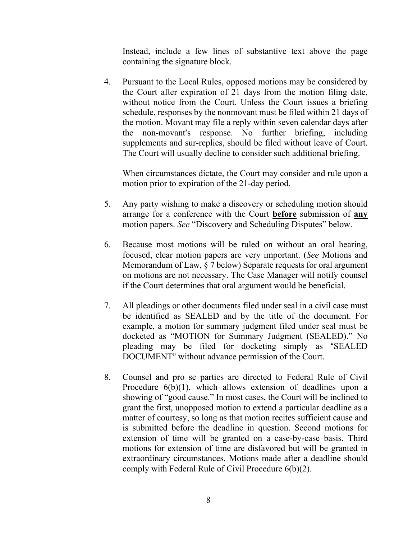Instead, include a few lines of substantive text above the page containing the signature block.

4. Pursuant to the Local Rules, opposed motions may be considered by the Court after expiration of 21 days from the motion filing date, without notice from the Court. Unless the Court issues a briefing schedule, responses by the nonmovant must be filed within 21 days of the motion. Movant may file a reply within seven calendar days after the non-movant's response. No further briefing, including supplements and sur-replies, should be filed without leave of Court. The Court will usually decline to consider such additional briefing.

When circumstances dictate, the Court may consider and rule upon a motion prior to expiration of the 21-day period.

- 5. Any party wishing to make a discovery or scheduling motion should arrange for a conference with the Court **before** submission of **any** motion papers. *See* "Discovery and Scheduling Disputes" below.
- 6. Because most motions will be ruled on without an oral hearing, focused, clear motion papers are very important. (*See* Motions and Memorandum of Law, § 7 below) Separate requests for oral argument on motions are not necessary. The Case Manager will notify counsel if the Court determines that oral argument would be beneficial.
- 7. All pleadings or other documents filed under seal in a civil case must be identified as SEALED and by the title of the document. For example, a motion for summary judgment filed under seal must be docketed as "MOTION for Summary Judgment (SEALED)." No pleading may be filed for docketing simply as "SEALED DOCUMENT" without advance permission of the Court.
- 8. Counsel and pro se parties are directed to Federal Rule of Civil Procedure 6(b)(1), which allows extension of deadlines upon a showing of "good cause." In most cases, the Court will be inclined to grant the first, unopposed motion to extend a particular deadline as a matter of courtesy, so long as that motion recites sufficient cause and is submitted before the deadline in question. Second motions for extension of time will be granted on a case-by-case basis. Third motions for extension of time are disfavored but will be granted in extraordinary circumstances. Motions made after a deadline should comply with Federal Rule of Civil Procedure 6(b)(2).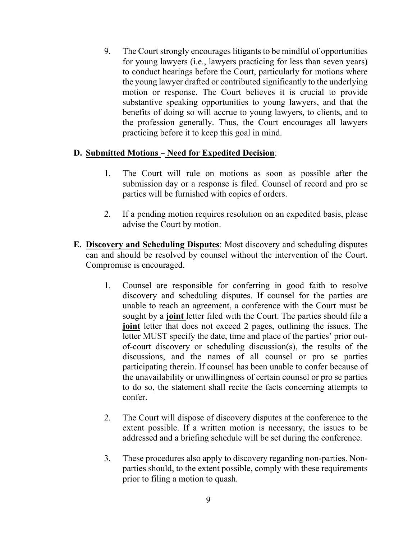9. The Court strongly encourages litigants to be mindful of opportunities for young lawyers (i.e., lawyers practicing for less than seven years) to conduct hearings before the Court, particularly for motions where the young lawyer drafted or contributed significantly to the underlying motion or response. The Court believes it is crucial to provide substantive speaking opportunities to young lawyers, and that the benefits of doing so will accrue to young lawyers, to clients, and to the profession generally. Thus, the Court encourages all lawyers practicing before it to keep this goal in mind.

#### **D.** Submitted Motions - Need for Expedited Decision:

- 1. The Court will rule on motions as soon as possible after the submission day or a response is filed. Counsel of record and pro se parties will be furnished with copies of orders.
- 2. If a pending motion requires resolution on an expedited basis, please advise the Court by motion.
- **E. Discovery and Scheduling Disputes**: Most discovery and scheduling disputes can and should be resolved by counsel without the intervention of the Court. Compromise is encouraged.
	- 1. Counsel are responsible for conferring in good faith to resolve discovery and scheduling disputes. If counsel for the parties are unable to reach an agreement, a conference with the Court must be sought by a **joint** letter filed with the Court. The parties should file a **joint** letter that does not exceed 2 pages, outlining the issues. The letter MUST specify the date, time and place of the parties' prior outof-court discovery or scheduling discussion(s), the results of the discussions, and the names of all counsel or pro se parties participating therein. If counsel has been unable to confer because of the unavailability or unwillingness of certain counsel or pro se parties to do so, the statement shall recite the facts concerning attempts to confer.
	- 2. The Court will dispose of discovery disputes at the conference to the extent possible. If a written motion is necessary, the issues to be addressed and a briefing schedule will be set during the conference.
	- 3. These procedures also apply to discovery regarding non-parties. Nonparties should, to the extent possible, comply with these requirements prior to filing a motion to quash.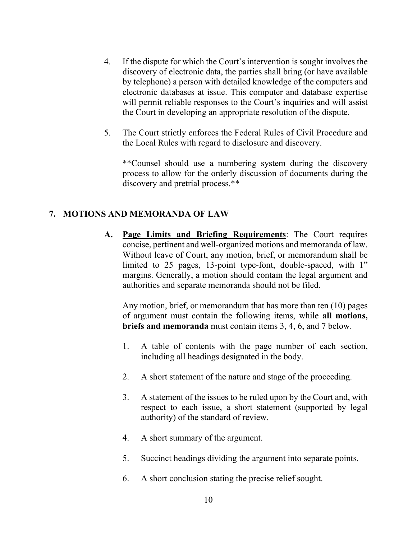- 4. If the dispute for which the Court's intervention is sought involves the discovery of electronic data, the parties shall bring (or have available by telephone) a person with detailed knowledge of the computers and electronic databases at issue. This computer and database expertise will permit reliable responses to the Court's inquiries and will assist the Court in developing an appropriate resolution of the dispute.
- 5. The Court strictly enforces the Federal Rules of Civil Procedure and the Local Rules with regard to disclosure and discovery.

\*\*Counsel should use a numbering system during the discovery process to allow for the orderly discussion of documents during the discovery and pretrial process.\*\*

#### <span id="page-9-0"></span>**7. MOTIONS AND MEMORANDA OF LAW**

**A. Page Limits and Briefing Requirements**: The Court requires concise, pertinent and well-organized motions and memoranda of law. Without leave of Court, any motion, brief, or memorandum shall be limited to 25 pages, 13-point type-font, double-spaced, with 1" margins. Generally, a motion should contain the legal argument and authorities and separate memoranda should not be filed.

Any motion, brief, or memorandum that has more than ten (10) pages of argument must contain the following items, while **all motions, briefs and memoranda** must contain items 3, 4, 6, and 7 below.

- 1. A table of contents with the page number of each section, including all headings designated in the body.
- 2. A short statement of the nature and stage of the proceeding.
- 3. A statement of the issues to be ruled upon by the Court and, with respect to each issue, a short statement (supported by legal authority) of the standard of review.
- 4. A short summary of the argument.
- 5. Succinct headings dividing the argument into separate points.
- 6. A short conclusion stating the precise relief sought.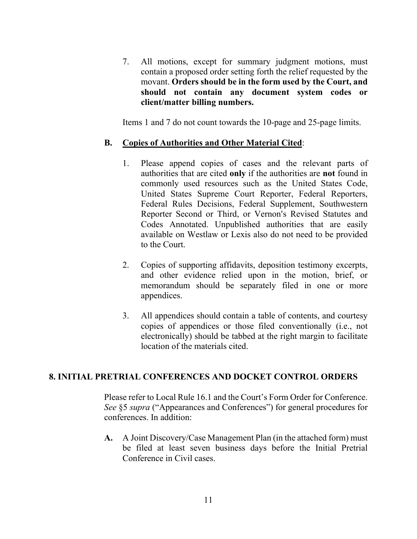7. All motions, except for summary judgment motions, must contain a proposed order setting forth the relief requested by the movant. **Orders should be in the form used by the Court, and should not contain any document system codes or client/matter billing numbers.**

Items 1 and 7 do not count towards the 10-page and 25-page limits.

#### **B. Copies of Authorities and Other Material Cited**:

- 1. Please append copies of cases and the relevant parts of authorities that are cited **only** if the authorities are **not** found in commonly used resources such as the United States Code, United States Supreme Court Reporter, Federal Reporters, Federal Rules Decisions, Federal Supplement, Southwestern Reporter Second or Third, or Vernon's Revised Statutes and Codes Annotated. Unpublished authorities that are easily available on Westlaw or Lexis also do not need to be provided to the Court.
- 2. Copies of supporting affidavits, deposition testimony excerpts, and other evidence relied upon in the motion, brief, or memorandum should be separately filed in one or more appendices.
- <span id="page-10-0"></span>3. All appendices should contain a table of contents, and courtesy copies of appendices or those filed conventionally (i.e., not electronically) should be tabbed at the right margin to facilitate location of the materials cited.

#### **8. INITIAL PRETRIAL CONFERENCES AND DOCKET CONTROL ORDERS**

Please refer to Local Rule 16.1 and the Court's Form Order for Conference. *See* §5 *supra* ("Appearances and Conferences") for general procedures for conferences. In addition:

**A.** A Joint Discovery/Case Management Plan (in the attached form) must be filed at least seven business days before the Initial Pretrial Conference in Civil cases.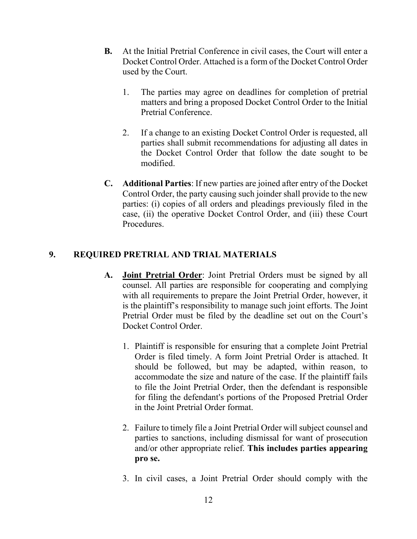- **B.** At the Initial Pretrial Conference in civil cases, the Court will enter a Docket Control Order. Attached is a form of the Docket Control Order used by the Court.
	- 1. The parties may agree on deadlines for completion of pretrial matters and bring a proposed Docket Control Order to the Initial Pretrial Conference.
	- 2. If a change to an existing Docket Control Order is requested, all parties shall submit recommendations for adjusting all dates in the Docket Control Order that follow the date sought to be modified.
- **C. Additional Parties**: If new parties are joined after entry of the Docket Control Order, the party causing such joinder shall provide to the new parties: (i) copies of all orders and pleadings previously filed in the case, (ii) the operative Docket Control Order, and (iii) these Court Procedures.

## <span id="page-11-0"></span>**9. REQUIRED PRETRIAL AND TRIAL MATERIALS**

- **A. Joint Pretrial Order**: Joint Pretrial Orders must be signed by all counsel. All parties are responsible for cooperating and complying with all requirements to prepare the Joint Pretrial Order, however, it is the plaintiff's responsibility to manage such joint efforts. The Joint Pretrial Order must be filed by the deadline set out on the Court's Docket Control Order.
	- 1. Plaintiff is responsible for ensuring that a complete Joint Pretrial Order is filed timely. A form Joint Pretrial Order is attached. It should be followed, but may be adapted, within reason, to accommodate the size and nature of the case. If the plaintiff fails to file the Joint Pretrial Order, then the defendant is responsible for filing the defendant's portions of the Proposed Pretrial Order in the Joint Pretrial Order format.
	- 2. Failure to timely file a Joint Pretrial Order will subject counsel and parties to sanctions, including dismissal for want of prosecution and/or other appropriate relief. **This includes parties appearing pro se.**
	- 3. In civil cases, a Joint Pretrial Order should comply with the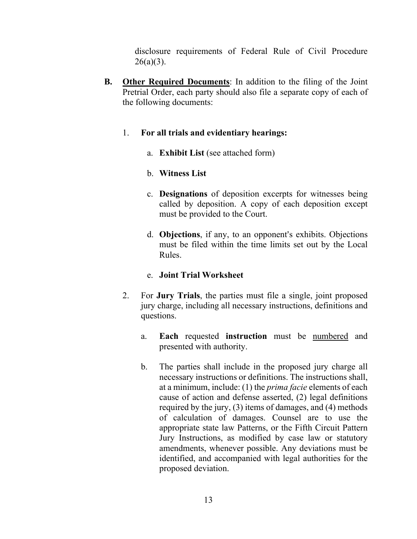disclosure requirements of Federal Rule of Civil Procedure  $26(a)(3)$ .

**B. Other Required Documents**: In addition to the filing of the Joint Pretrial Order, each party should also file a separate copy of each of the following documents:

#### 1. **For all trials and evidentiary hearings:**

a. **Exhibit List** (see attached form)

## b. **Witness List**

- c. **Designations** of deposition excerpts for witnesses being called by deposition. A copy of each deposition except must be provided to the Court.
- d. **Objections**, if any, to an opponent's exhibits. Objections must be filed within the time limits set out by the Local Rules.

## e. **Joint Trial Worksheet**

- 2. For **Jury Trials**, the parties must file a single, joint proposed jury charge, including all necessary instructions, definitions and questions.
	- a. **Each** requested **instruction** must be numbered and presented with authority.
	- b. The parties shall include in the proposed jury charge all necessary instructions or definitions. The instructions shall, at a minimum, include: (1) the *prima facie* elements of each cause of action and defense asserted, (2) legal definitions required by the jury, (3) items of damages, and (4) methods of calculation of damages. Counsel are to use the appropriate state law Patterns, or the Fifth Circuit Pattern Jury Instructions, as modified by case law or statutory amendments, whenever possible. Any deviations must be identified, and accompanied with legal authorities for the proposed deviation.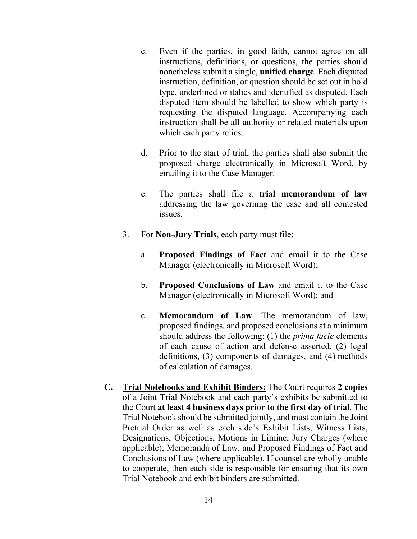- c. Even if the parties, in good faith, cannot agree on all instructions, definitions, or questions, the parties should nonetheless submit a single, **unified charge**. Each disputed instruction, definition, or question should be set out in bold type, underlined or italics and identified as disputed. Each disputed item should be labelled to show which party is requesting the disputed language. Accompanying each instruction shall be all authority or related materials upon which each party relies.
- d. Prior to the start of trial, the parties shall also submit the proposed charge electronically in Microsoft Word, by emailing it to the Case Manager.
- e. The parties shall file a **trial memorandum of law** addressing the law governing the case and all contested issues.
- 3. For **Non-Jury Trials**, each party must file:
	- a. **Proposed Findings of Fact** and email it to the Case Manager (electronically in Microsoft Word);
	- b. **Proposed Conclusions of Law** and email it to the Case Manager (electronically in Microsoft Word); and
	- c. **Memorandum of Law**. The memorandum of law, proposed findings, and proposed conclusions at a minimum should address the following: (1) the *prima facie* elements of each cause of action and defense asserted, (2) legal definitions, (3) components of damages, and (4) methods of calculation of damages.
- **C. Trial Notebooks and Exhibit Binders:** The Court requires **2 copies** of a Joint Trial Notebook and each party's exhibits be submitted to the Court **at least 4 business days prior to the first day of trial**. The Trial Notebook should be submitted jointly, and must contain the Joint Pretrial Order as well as each side's Exhibit Lists, Witness Lists, Designations, Objections, Motions in Limine, Jury Charges (where applicable), Memoranda of Law, and Proposed Findings of Fact and Conclusions of Law (where applicable). If counsel are wholly unable to cooperate, then each side is responsible for ensuring that its own Trial Notebook and exhibit binders are submitted.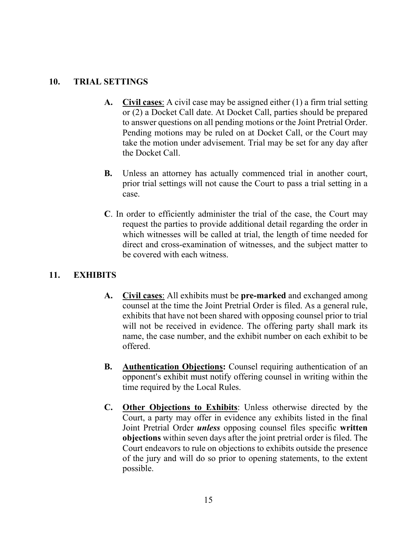#### **10. TRIAL SETTINGS**

- **A. Civil cases**: A civil case may be assigned either (1) a firm trial setting or (2) a Docket Call date. At Docket Call, parties should be prepared to answer questions on all pending motions or the Joint Pretrial Order. Pending motions may be ruled on at Docket Call, or the Court may take the motion under advisement. Trial may be set for any day after the Docket Call.
- **B.** Unless an attorney has actually commenced trial in another court, prior trial settings will not cause the Court to pass a trial setting in a case.
- **C**. In order to efficiently administer the trial of the case, the Court may request the parties to provide additional detail regarding the order in which witnesses will be called at trial, the length of time needed for direct and cross-examination of witnesses, and the subject matter to be covered with each witness.

#### <span id="page-14-0"></span>**11. EXHIBITS**

- **A. Civil cases**: All exhibits must be **pre-marked** and exchanged among counsel at the time the Joint Pretrial Order is filed. As a general rule, exhibits that have not been shared with opposing counsel prior to trial will not be received in evidence. The offering party shall mark its name, the case number, and the exhibit number on each exhibit to be offered.
- **B. Authentication Objections:** Counsel requiring authentication of an opponent's exhibit must notify offering counsel in writing within the time required by the Local Rules.
- **C. Other Objections to Exhibits**: Unless otherwise directed by the Court, a party may offer in evidence any exhibits listed in the final Joint Pretrial Order *unless* opposing counsel files specific **written objections** within seven days after the joint pretrial order is filed. The Court endeavors to rule on objections to exhibits outside the presence of the jury and will do so prior to opening statements, to the extent possible.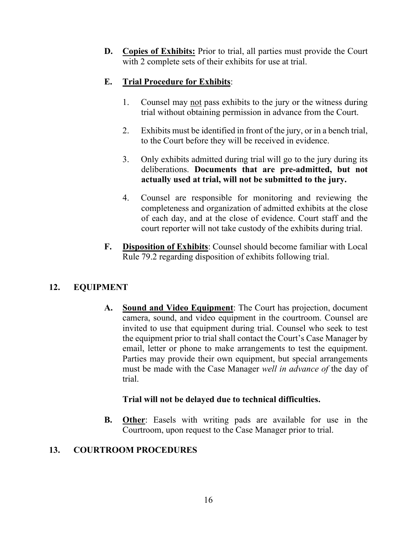**D. Copies of Exhibits:** Prior to trial, all parties must provide the Court with 2 complete sets of their exhibits for use at trial.

## **E. Trial Procedure for Exhibits**:

- 1. Counsel may not pass exhibits to the jury or the witness during trial without obtaining permission in advance from the Court.
- 2. Exhibits must be identified in front of the jury, or in a bench trial, to the Court before they will be received in evidence.
- 3. Only exhibits admitted during trial will go to the jury during its deliberations. **Documents that are pre-admitted, but not actually used at trial, will not be submitted to the jury.**
- 4. Counsel are responsible for monitoring and reviewing the completeness and organization of admitted exhibits at the close of each day, and at the close of evidence. Court staff and the court reporter will not take custody of the exhibits during trial.
- **F. Disposition of Exhibits**: Counsel should become familiar with Local Rule 79.2 regarding disposition of exhibits following trial.

# <span id="page-15-0"></span>**12. EQUIPMENT**

**A. Sound and Video Equipment**: The Court has projection, document camera, sound, and video equipment in the courtroom. Counsel are invited to use that equipment during trial. Counsel who seek to test the equipment prior to trial shall contact the Court's Case Manager by email, letter or phone to make arrangements to test the equipment. Parties may provide their own equipment, but special arrangements must be made with the Case Manager *well in advance of* the day of trial.

## **Trial will not be delayed due to technical difficulties.**

**B. Other**: Easels with writing pads are available for use in the Courtroom, upon request to the Case Manager prior to trial.

## <span id="page-15-1"></span>**13. COURTROOM PROCEDURES**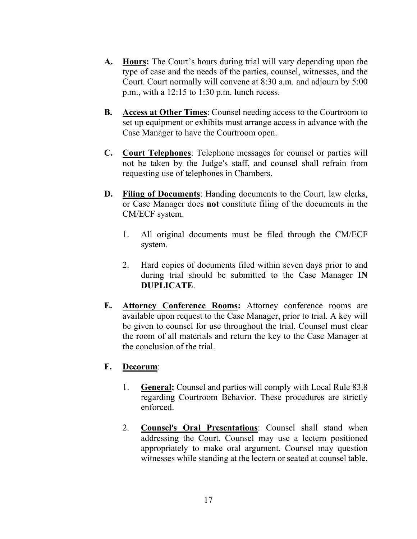- **A. Hours:** The Court's hours during trial will vary depending upon the type of case and the needs of the parties, counsel, witnesses, and the Court. Court normally will convene at 8:30 a.m. and adjourn by 5:00 p.m., with a 12:15 to 1:30 p.m. lunch recess.
- **B. Access at Other Times**: Counsel needing access to the Courtroom to set up equipment or exhibits must arrange access in advance with the Case Manager to have the Courtroom open.
- **C. Court Telephones**: Telephone messages for counsel or parties will not be taken by the Judge's staff, and counsel shall refrain from requesting use of telephones in Chambers.
- **D. Filing of Documents**: Handing documents to the Court, law clerks, or Case Manager does **not** constitute filing of the documents in the CM/ECF system.
	- 1. All original documents must be filed through the CM/ECF system.
	- 2. Hard copies of documents filed within seven days prior to and during trial should be submitted to the Case Manager **IN DUPLICATE**.
- **E. Attorney Conference Rooms:** Attorney conference rooms are available upon request to the Case Manager, prior to trial. A key will be given to counsel for use throughout the trial. Counsel must clear the room of all materials and return the key to the Case Manager at the conclusion of the trial.

## **F. Decorum**:

- 1. **General:** Counsel and parties will comply with Local Rule 83.8 regarding Courtroom Behavior. These procedures are strictly enforced.
- 2. **Counsel's Oral Presentations**: Counsel shall stand when addressing the Court. Counsel may use a lectern positioned appropriately to make oral argument. Counsel may question witnesses while standing at the lectern or seated at counsel table.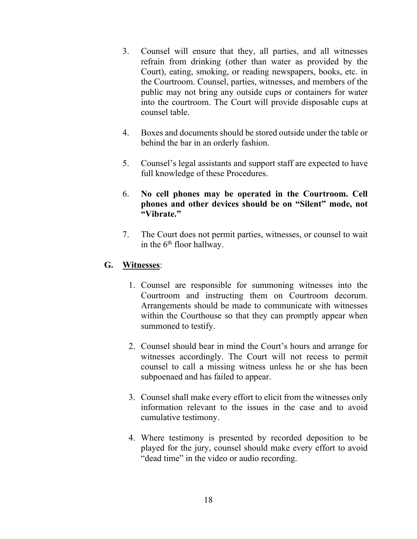- 3. Counsel will ensure that they, all parties, and all witnesses refrain from drinking (other than water as provided by the Court), eating, smoking, or reading newspapers, books, etc. in the Courtroom. Counsel, parties, witnesses, and members of the public may not bring any outside cups or containers for water into the courtroom. The Court will provide disposable cups at counsel table.
- 4. Boxes and documents should be stored outside under the table or behind the bar in an orderly fashion.
- 5. Counsel's legal assistants and support staff are expected to have full knowledge of these Procedures.
- 6. **No cell phones may be operated in the Courtroom. Cell phones and other devices should be on "Silent" mode, not "Vibrate."**
- 7. The Court does not permit parties, witnesses, or counsel to wait in the 6<sup>th</sup> floor hallway.

#### **G. Witnesses**:

- 1. Counsel are responsible for summoning witnesses into the Courtroom and instructing them on Courtroom decorum. Arrangements should be made to communicate with witnesses within the Courthouse so that they can promptly appear when summoned to testify.
- 2. Counsel should bear in mind the Court's hours and arrange for witnesses accordingly. The Court will not recess to permit counsel to call a missing witness unless he or she has been subpoenaed and has failed to appear.
- 3. Counsel shall make every effort to elicit from the witnesses only information relevant to the issues in the case and to avoid cumulative testimony.
- 4. Where testimony is presented by recorded deposition to be played for the jury, counsel should make every effort to avoid "dead time" in the video or audio recording.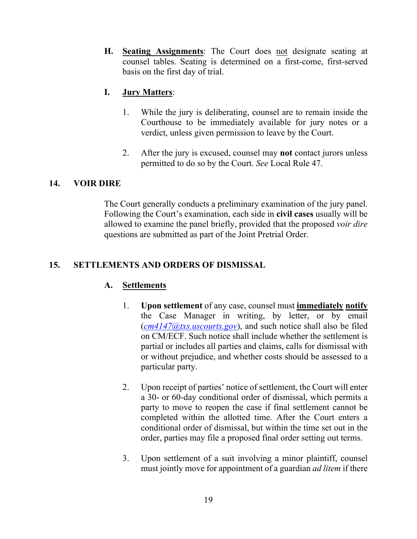**H. Seating Assignments**: The Court does not designate seating at counsel tables. Seating is determined on a first-come, first-served basis on the first day of trial.

## **I. Jury Matters**:

- 1. While the jury is deliberating, counsel are to remain inside the Courthouse to be immediately available for jury notes or a verdict, unless given permission to leave by the Court.
- 2. After the jury is excused, counsel may **not** contact jurors unless permitted to do so by the Court. *See* Local Rule 47.

#### <span id="page-18-0"></span>**14. VOIR DIRE**

The Court generally conducts a preliminary examination of the jury panel. Following the Court's examination, each side in **civil cases** usually will be allowed to examine the panel briefly, provided that the proposed *voir dire* questions are submitted as part of the Joint Pretrial Order.

## <span id="page-18-1"></span>**15. SETTLEMENTS AND ORDERS OF DISMISSAL**

#### **A. Settlements**

- 1. **Upon settlement** of any case, counsel must **immediately notify** the Case Manager in writing, by letter, or by email (*[cm4147@txs.uscourts.gov](mailto:cm4147@txs.uscourts.gov)*), and such notice shall also be filed on CM/ECF. Such notice shall include whether the settlement is partial or includes all parties and claims, calls for dismissal with or without prejudice, and whether costs should be assessed to a particular party.
- 2. Upon receipt of parties' notice of settlement, the Court will enter a 30- or 60-day conditional order of dismissal, which permits a party to move to reopen the case if final settlement cannot be completed within the allotted time. After the Court enters a conditional order of dismissal, but within the time set out in the order, parties may file a proposed final order setting out terms.
- 3. Upon settlement of a suit involving a minor plaintiff, counsel must jointly move for appointment of a guardian *ad litem* if there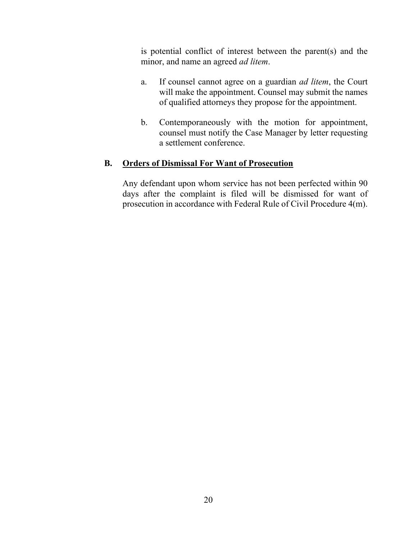is potential conflict of interest between the parent(s) and the minor, and name an agreed *ad litem*.

- a. If counsel cannot agree on a guardian *ad litem*, the Court will make the appointment. Counsel may submit the names of qualified attorneys they propose for the appointment.
- b. Contemporaneously with the motion for appointment, counsel must notify the Case Manager by letter requesting a settlement conference.

#### **B. Orders of Dismissal For Want of Prosecution**

Any defendant upon whom service has not been perfected within 90 days after the complaint is filed will be dismissed for want of prosecution in accordance with Federal Rule of Civil Procedure 4(m).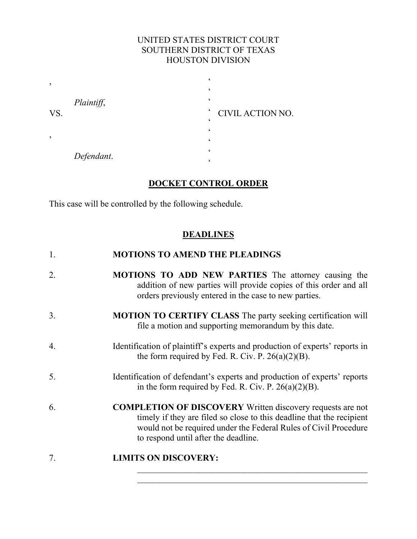## UNITED STATES DISTRICT COURT SOUTHERN DISTRICT OF TEXAS HOUSTON DIVISION

| $\cdot$ |            |                                              |  |
|---------|------------|----------------------------------------------|--|
|         |            |                                              |  |
| VS.     | Plaintiff, |                                              |  |
|         |            | $\epsilon$<br>CIVIL ACTION NO.<br>$\epsilon$ |  |
|         |            |                                              |  |
| ,       |            |                                              |  |
|         | Defendant. |                                              |  |
|         |            |                                              |  |

## **DOCKET CONTROL ORDER**

This case will be controlled by the following schedule.

## **DEADLINES**

| 1. | <b>MOTIONS TO AMEND THE PLEADINGS</b>                                                                                                                                                                                                                  |
|----|--------------------------------------------------------------------------------------------------------------------------------------------------------------------------------------------------------------------------------------------------------|
| 2. | <b>MOTIONS TO ADD NEW PARTIES</b> The attorney causing the<br>addition of new parties will provide copies of this order and all<br>orders previously entered in the case to new parties.                                                               |
| 3. | <b>MOTION TO CERTIFY CLASS</b> The party seeking certification will<br>file a motion and supporting memorandum by this date.                                                                                                                           |
| 4. | Identification of plaintiff's experts and production of experts' reports in<br>the form required by Fed. R. Civ. P. $26(a)(2)(B)$ .                                                                                                                    |
| 5. | Identification of defendant's experts and production of experts' reports<br>in the form required by Fed. R. Civ. P. $26(a)(2)(B)$ .                                                                                                                    |
| 6. | <b>COMPLETION OF DISCOVERY</b> Written discovery requests are not<br>timely if they are filed so close to this deadline that the recipient<br>would not be required under the Federal Rules of Civil Procedure<br>to respond until after the deadline. |
|    |                                                                                                                                                                                                                                                        |

 $\mathcal{L}_\text{max}$  , and the contract of the contract of the contract of the contract of the contract of the contract of the contract of the contract of the contract of the contract of the contract of the contract of the contr  $\mathcal{L}_\text{max}$  , and the contract of the contract of the contract of the contract of the contract of the contract of the contract of the contract of the contract of the contract of the contract of the contract of the contr

## 7. **LIMITS ON DISCOVERY:**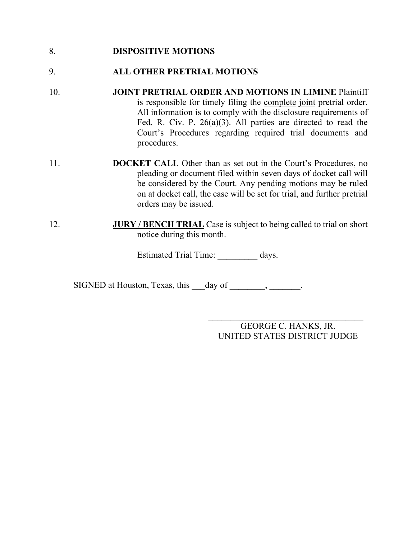#### 8. **DISPOSITIVE MOTIONS**

## 9. **ALL OTHER PRETRIAL MOTIONS**

- 10. **JOINT PRETRIAL ORDER AND MOTIONS IN LIMINE** Plaintiff is responsible for timely filing the complete joint pretrial order. All information is to comply with the disclosure requirements of Fed. R. Civ. P. 26(a)(3). All parties are directed to read the Court's Procedures regarding required trial documents and procedures.
- 11. **DOCKET CALL** Other than as set out in the Court's Procedures, no pleading or document filed within seven days of docket call will be considered by the Court. Any pending motions may be ruled on at docket call, the case will be set for trial, and further pretrial orders may be issued.
- 12. **JURY / BENCH TRIAL** Case is subject to being called to trial on short notice during this month.

Estimated Trial Time: days.

SIGNED at Houston, Texas, this day of \_\_\_\_\_\_\_, \_\_\_\_\_\_.

 $\overline{\phantom{a}}$  , where  $\overline{\phantom{a}}$  , where  $\overline{\phantom{a}}$  , where  $\overline{\phantom{a}}$ GEORGE C. HANKS, JR. UNITED STATES DISTRICT JUDGE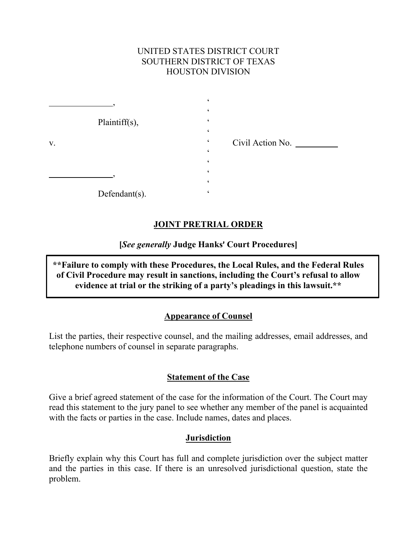### UNITED STATES DISTRICT COURT SOUTHERN DISTRICT OF TEXAS HOUSTON DIVISION

|    | Plaintiff(s),     |                                   |  |
|----|-------------------|-----------------------------------|--|
|    |                   | ۷                                 |  |
| V. |                   | Civil Action No.<br>$\pmb{\zeta}$ |  |
|    |                   | ۷                                 |  |
|    |                   |                                   |  |
|    |                   |                                   |  |
|    |                   |                                   |  |
|    | Defendant $(s)$ . |                                   |  |

## **JOINT PRETRIAL ORDER**

**[***See generally* **Judge Hanks**= **Court Procedures]**

**\*\*Failure to comply with these Procedures, the Local Rules, and the Federal Rules of Civil Procedure may result in sanctions, including the Court's refusal to allow evidence at trial or the striking of a party's pleadings in this lawsuit.\*\***

#### **Appearance of Counsel**

List the parties, their respective counsel, and the mailing addresses, email addresses, and telephone numbers of counsel in separate paragraphs.

#### **Statement of the Case**

Give a brief agreed statement of the case for the information of the Court. The Court may read this statement to the jury panel to see whether any member of the panel is acquainted with the facts or parties in the case. Include names, dates and places.

#### **Jurisdiction**

Briefly explain why this Court has full and complete jurisdiction over the subject matter and the parties in this case. If there is an unresolved jurisdictional question, state the problem.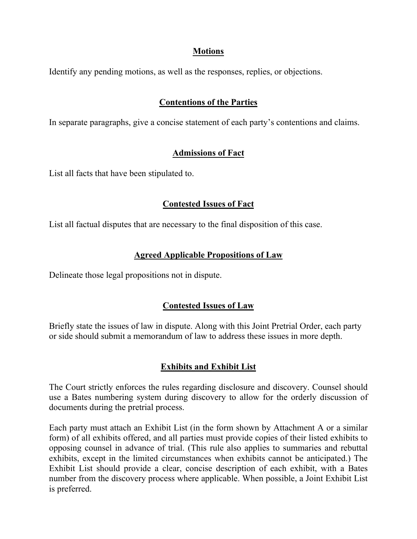#### **Motions**

Identify any pending motions, as well as the responses, replies, or objections.

## **Contentions of the Parties**

In separate paragraphs, give a concise statement of each party's contentions and claims.

## **Admissions of Fact**

List all facts that have been stipulated to.

#### **Contested Issues of Fact**

List all factual disputes that are necessary to the final disposition of this case.

## **Agreed Applicable Propositions of Law**

Delineate those legal propositions not in dispute.

## **Contested Issues of Law**

Briefly state the issues of law in dispute. Along with this Joint Pretrial Order, each party or side should submit a memorandum of law to address these issues in more depth.

## **Exhibits and Exhibit List**

The Court strictly enforces the rules regarding disclosure and discovery. Counsel should use a Bates numbering system during discovery to allow for the orderly discussion of documents during the pretrial process.

Each party must attach an Exhibit List (in the form shown by Attachment A or a similar form) of all exhibits offered, and all parties must provide copies of their listed exhibits to opposing counsel in advance of trial. (This rule also applies to summaries and rebuttal exhibits, except in the limited circumstances when exhibits cannot be anticipated.) The Exhibit List should provide a clear, concise description of each exhibit, with a Bates number from the discovery process where applicable. When possible, a Joint Exhibit List is preferred.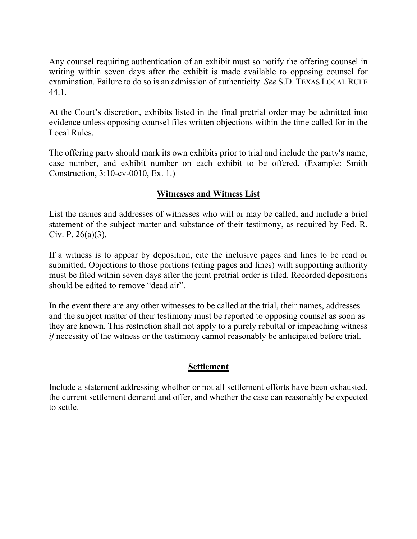Any counsel requiring authentication of an exhibit must so notify the offering counsel in writing within seven days after the exhibit is made available to opposing counsel for examination. Failure to do so is an admission of authenticity. *See* S.D. TEXAS LOCAL RULE 44.1.

At the Court's discretion, exhibits listed in the final pretrial order may be admitted into evidence unless opposing counsel files written objections within the time called for in the Local Rules.

The offering party should mark its own exhibits prior to trial and include the party's name, case number, and exhibit number on each exhibit to be offered. (Example: Smith Construction, 3:10-cv-0010, Ex. 1.)

## **Witnesses and Witness List**

List the names and addresses of witnesses who will or may be called, and include a brief statement of the subject matter and substance of their testimony, as required by Fed. R. Civ. P.  $26(a)(3)$ .

If a witness is to appear by deposition, cite the inclusive pages and lines to be read or submitted. Objections to those portions (citing pages and lines) with supporting authority must be filed within seven days after the joint pretrial order is filed. Recorded depositions should be edited to remove "dead air".

In the event there are any other witnesses to be called at the trial, their names, addresses and the subject matter of their testimony must be reported to opposing counsel as soon as they are known. This restriction shall not apply to a purely rebuttal or impeaching witness *if* necessity of the witness or the testimony cannot reasonably be anticipated before trial.

#### **Settlement**

Include a statement addressing whether or not all settlement efforts have been exhausted, the current settlement demand and offer, and whether the case can reasonably be expected to settle.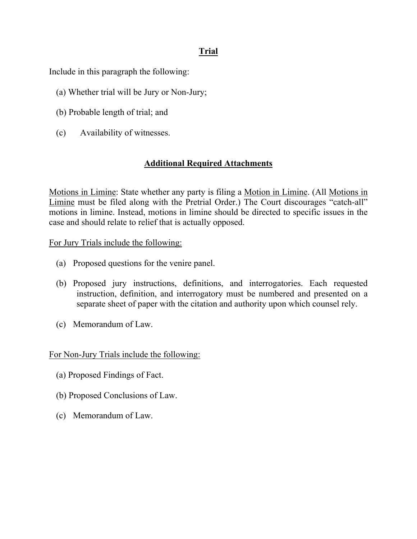## **Trial**

Include in this paragraph the following:

- (a) Whether trial will be Jury or Non-Jury;
- (b) Probable length of trial; and
- (c) Availability of witnesses.

## **Additional Required Attachments**

Motions in Limine: State whether any party is filing a Motion in Limine. (All Motions in Limine must be filed along with the Pretrial Order.) The Court discourages "catch-all" motions in limine. Instead, motions in limine should be directed to specific issues in the case and should relate to relief that is actually opposed.

For Jury Trials include the following:

- (a) Proposed questions for the venire panel.
- (b) Proposed jury instructions, definitions, and interrogatories. Each requested instruction, definition, and interrogatory must be numbered and presented on a separate sheet of paper with the citation and authority upon which counsel rely.
- (c) Memorandum of Law.

For Non-Jury Trials include the following:

- (a) Proposed Findings of Fact.
- (b) Proposed Conclusions of Law.
- (c) Memorandum of Law.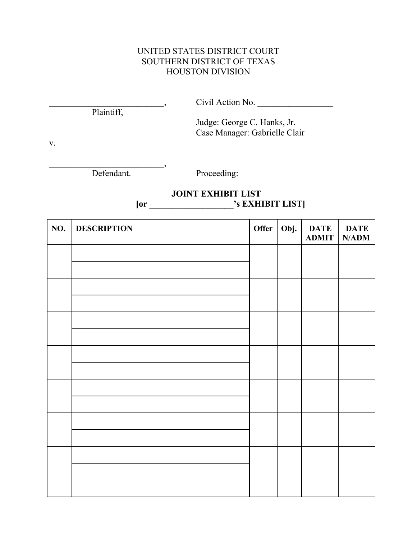## UNITED STATES DISTRICT COURT SOUTHERN DISTRICT OF TEXAS HOUSTON DIVISION

| $- - - -$<br>nn<br>NO. |  |
|------------------------|--|
|                        |  |

Plaintiff,

Judge: George C. Hanks, Jr. Case Manager: Gabrielle Clair

v.

 $\overline{\phantom{a}}$  , and the set of the set of the set of the set of the set of the set of the set of the set of the set of the set of the set of the set of the set of the set of the set of the set of the set of the set of the s Defendant. Proceeding:

## **JOINT EXHIBIT LIST [or \_\_\_\_\_\_\_\_\_\_\_\_\_\_\_\_\_\_\_'s EXHIBIT LIST]**

| NO. | <b>DESCRIPTION</b> | Offer | Obj. | <b>DATE</b><br><b>ADMIT</b> | <b>DATE</b><br>N/ADM |
|-----|--------------------|-------|------|-----------------------------|----------------------|
|     |                    |       |      |                             |                      |
|     |                    |       |      |                             |                      |
|     |                    |       |      |                             |                      |
|     |                    |       |      |                             |                      |
|     |                    |       |      |                             |                      |
|     |                    |       |      |                             |                      |
|     |                    |       |      |                             |                      |
|     |                    |       |      |                             |                      |
|     |                    |       |      |                             |                      |
|     |                    |       |      |                             |                      |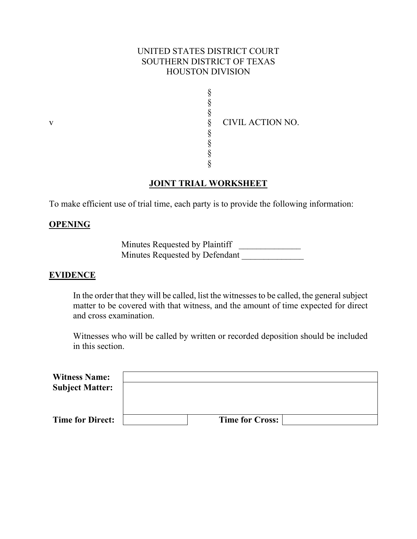### UNITED STATES DISTRICT COURT SOUTHERN DISTRICT OF TEXAS HOUSTON DIVISION

§ § § § § § § v S CIVIL ACTION NO.

## **JOINT TRIAL WORKSHEET**

§

To make efficient use of trial time, each party is to provide the following information:

#### **OPENING**

Minutes Requested by Plaintiff \_\_\_\_\_\_\_\_\_\_\_\_\_\_\_ Minutes Requested by Defendant

#### **EVIDENCE**

In the order that they will be called, list the witnesses to be called, the general subject matter to be covered with that witness, and the amount of time expected for direct and cross examination.

Witnesses who will be called by written or recorded deposition should be included in this section.

| <b>Witness Name:</b>    |                        |  |
|-------------------------|------------------------|--|
| <b>Subject Matter:</b>  |                        |  |
|                         |                        |  |
|                         |                        |  |
| <b>Time for Direct:</b> | <b>Time for Cross:</b> |  |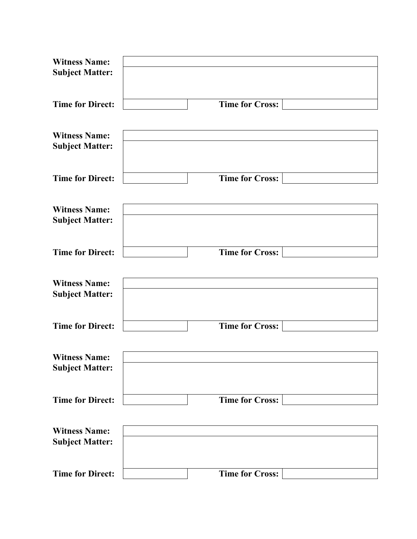| <b>Witness Name:</b>    |                        |
|-------------------------|------------------------|
| <b>Subject Matter:</b>  |                        |
|                         |                        |
|                         |                        |
| <b>Time for Direct:</b> | <b>Time for Cross:</b> |
|                         |                        |
| <b>Witness Name:</b>    |                        |
| <b>Subject Matter:</b>  |                        |
|                         |                        |
|                         |                        |
| <b>Time for Direct:</b> | <b>Time for Cross:</b> |
|                         |                        |
| <b>Witness Name:</b>    |                        |
| <b>Subject Matter:</b>  |                        |
|                         |                        |
|                         |                        |
| <b>Time for Direct:</b> | <b>Time for Cross:</b> |
|                         |                        |
| <b>Witness Name:</b>    |                        |
| <b>Subject Matter:</b>  |                        |
|                         |                        |
|                         |                        |
| <b>Time for Direct:</b> | <b>Time for Cross:</b> |
|                         |                        |
| <b>Witness Name:</b>    |                        |
| <b>Subject Matter:</b>  |                        |
|                         |                        |
|                         |                        |
| <b>Time for Direct:</b> | <b>Time for Cross:</b> |
|                         |                        |
| <b>Witness Name:</b>    |                        |
| <b>Subject Matter:</b>  |                        |
|                         |                        |
|                         |                        |
| <b>Time for Direct:</b> | <b>Time for Cross:</b> |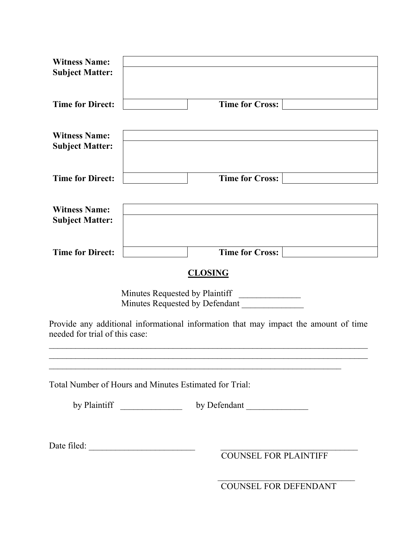| <b>Witness Name:</b>           |                                                                                     |  |
|--------------------------------|-------------------------------------------------------------------------------------|--|
| <b>Subject Matter:</b>         |                                                                                     |  |
|                                |                                                                                     |  |
|                                |                                                                                     |  |
|                                |                                                                                     |  |
| <b>Time for Direct:</b>        | <b>Time for Cross:</b>                                                              |  |
|                                |                                                                                     |  |
|                                |                                                                                     |  |
| <b>Witness Name:</b>           |                                                                                     |  |
| <b>Subject Matter:</b>         |                                                                                     |  |
|                                |                                                                                     |  |
|                                |                                                                                     |  |
| <b>Time for Direct:</b>        | <b>Time for Cross:</b>                                                              |  |
|                                |                                                                                     |  |
|                                |                                                                                     |  |
| <b>Witness Name:</b>           |                                                                                     |  |
|                                |                                                                                     |  |
| <b>Subject Matter:</b>         |                                                                                     |  |
|                                |                                                                                     |  |
|                                |                                                                                     |  |
| <b>Time for Direct:</b>        | <b>Time for Cross:</b>                                                              |  |
|                                |                                                                                     |  |
|                                | <b>CLOSING</b>                                                                      |  |
|                                |                                                                                     |  |
|                                | Minutes Requested by Plaintiff                                                      |  |
|                                |                                                                                     |  |
|                                | Minutes Requested by Defendant                                                      |  |
|                                |                                                                                     |  |
|                                | Provide any additional informational information that may impact the amount of time |  |
| needed for trial of this case: |                                                                                     |  |
|                                |                                                                                     |  |
|                                |                                                                                     |  |
|                                |                                                                                     |  |
|                                |                                                                                     |  |
|                                | Total Number of Hours and Minutes Estimated for Trial:                              |  |
|                                |                                                                                     |  |
|                                |                                                                                     |  |
|                                |                                                                                     |  |
|                                |                                                                                     |  |
|                                |                                                                                     |  |
|                                |                                                                                     |  |
|                                | Date filed: $\frac{1}{\sqrt{1-\frac{1}{2}} \cdot \frac{1}{2}}$                      |  |
|                                | <b>COUNSEL FOR PLAINTIFF</b>                                                        |  |
|                                |                                                                                     |  |
|                                |                                                                                     |  |
|                                | COUNSEL FOR DEFENDANT                                                               |  |